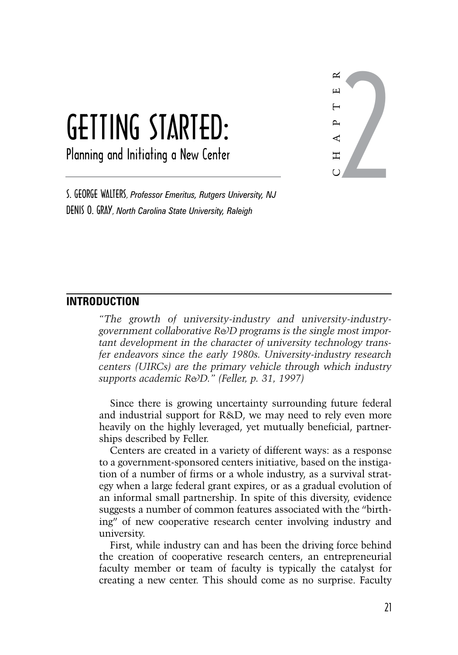# Getting Started: Planning and Initiating a New Center

2 C H A P T E R

S. George Walters, *Professor Emeritus, Rutgers University, NJ* Denis O. Gray, *North Carolina State University, Raleigh*

### **Introduction**

*"The growth of university-industry and university-industrygovernment collaborative R&D programs is the single most important development in the character of university technology transfer endeavors since the early 1980s. University-industry research centers (UIRCs) are the primary vehicle through which industry supports academic R&D." (Feller, p. 31, 1997)*

Since there is growing uncertainty surrounding future federal and industrial support for R&D, we may need to rely even more heavily on the highly leveraged, yet mutually beneficial, partnerships described by Feller.

Centers are created in a variety of different ways: as a response to a government-sponsored centers initiative, based on the instigation of a number of firms or a whole industry, as a survival strategy when a large federal grant expires, or as a gradual evolution of an informal small partnership. In spite of this diversity, evidence suggests a number of common features associated with the "birthing" of new cooperative research center involving industry and university.

First, while industry can and has been the driving force behind the creation of cooperative research centers, an entrepreneurial faculty member or team of faculty is typically the catalyst for creating a new center. This should come as no surprise. Faculty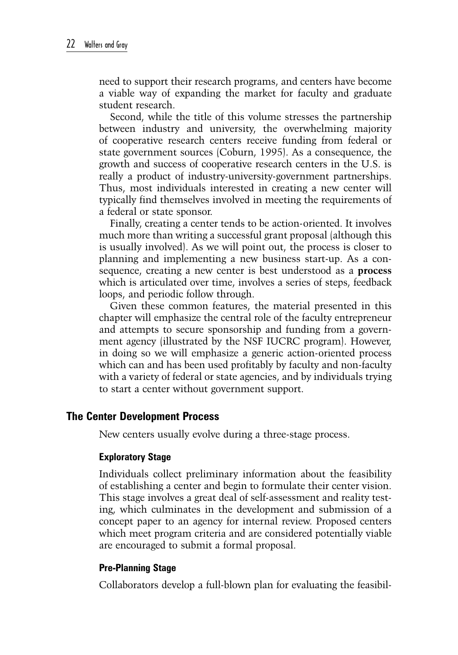need to support their research programs, and centers have become a viable way of expanding the market for faculty and graduate student research.

Second, while the title of this volume stresses the partnership between industry and university, the overwhelming majority of cooperative research centers receive funding from federal or state government sources (Coburn, 1995). As a consequence, the growth and success of cooperative research centers in the U.S. is really a product of industry-university-government partnerships. Thus, most individuals interested in creating a new center will typically find themselves involved in meeting the requirements of a federal or state sponsor.

Finally, creating a center tends to be action-oriented. It involves much more than writing a successful grant proposal (although this is usually involved). As we will point out, the process is closer to planning and implementing a new business start-up. As a consequence, creating a new center is best understood as a **process** which is articulated over time, involves a series of steps, feedback loops, and periodic follow through.

Given these common features, the material presented in this chapter will emphasize the central role of the faculty entrepreneur and attempts to secure sponsorship and funding from a government agency (illustrated by the NSF IUCRC program). However, in doing so we will emphasize a generic action-oriented process which can and has been used profitably by faculty and non-faculty with a variety of federal or state agencies, and by individuals trying to start a center without government support.

### **The Center Development Process**

New centers usually evolve during a three-stage process.

#### **Exploratory Stage**

Individuals collect preliminary information about the feasibility of establishing a center and begin to formulate their center vision. This stage involves a great deal of self-assessment and reality testing, which culminates in the development and submission of a concept paper to an agency for internal review. Proposed centers which meet program criteria and are considered potentially viable are encouraged to submit a formal proposal.

#### **Pre-Planning Stage**

Collaborators develop a full-blown plan for evaluating the feasibil-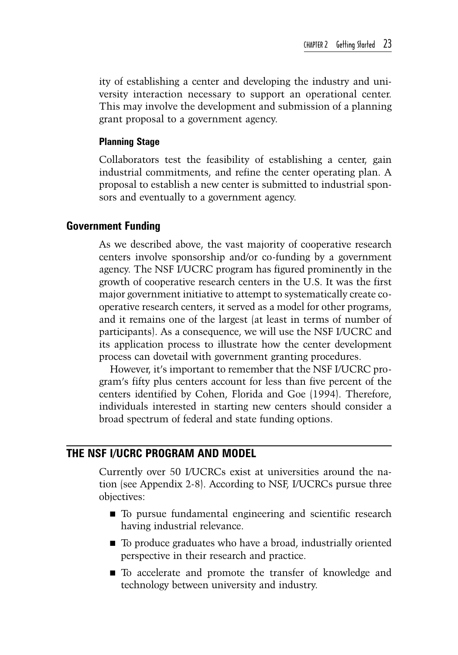ity of establishing a center and developing the industry and university interaction necessary to support an operational center. This may involve the development and submission of a planning grant proposal to a government agency.

#### **Planning Stage**

Collaborators test the feasibility of establishing a center, gain industrial commitments, and refine the center operating plan. A proposal to establish a new center is submitted to industrial sponsors and eventually to a government agency.

#### **Government Funding**

As we described above, the vast majority of cooperative research centers involve sponsorship and/or co-funding by a government agency. The NSF I/UCRC program has figured prominently in the growth of cooperative research centers in the U.S. It was the first major government initiative to attempt to systematically create cooperative research centers, it served as a model for other programs, and it remains one of the largest (at least in terms of number of participants). As a consequence, we will use the NSF I/UCRC and its application process to illustrate how the center development process can dovetail with government granting procedures.

However, it's important to remember that the NSF I/UCRC program's fifty plus centers account for less than five percent of the centers identified by Cohen, Florida and Goe (1994). Therefore, individuals interested in starting new centers should consider a broad spectrum of federal and state funding options.

### **The NSF I/UCRC Program and Model**

Currently over 50 I/UCRCs exist at universities around the nation (see Appendix 2-8). According to NSF, I/UCRCs pursue three objectives:

- To pursue fundamental engineering and scientific research having industrial relevance.
- To produce graduates who have a broad, industrially oriented perspective in their research and practice.
- To accelerate and promote the transfer of knowledge and technology between university and industry.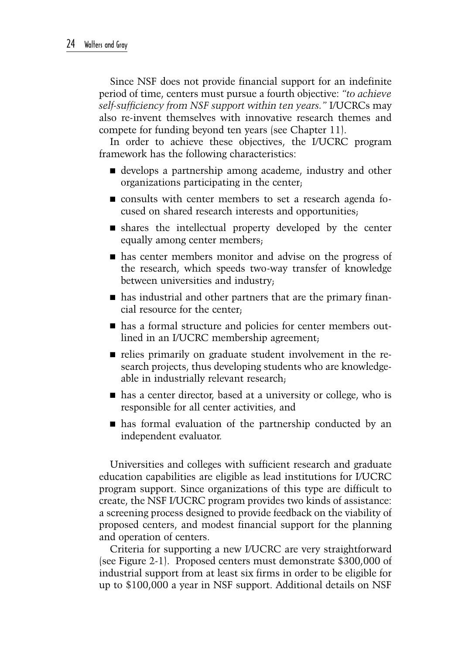Since NSF does not provide financial support for an indefinite period of time, centers must pursue a fourth objective: *"to achieve self-sufficiency from NSF support within ten years."* I/UCRCs may also re-invent themselves with innovative research themes and compete for funding beyond ten years (see Chapter 11).

In order to achieve these objectives, the I/UCRC program framework has the following characteristics:

- develops a partnership among academe, industry and other organizations participating in the center;
- consults with center members to set a research agenda focused on shared research interests and opportunities;
- shares the intellectual property developed by the center equally among center members;
- **has center members monitor and advise on the progress of** the research, which speeds two-way transfer of knowledge between universities and industry;
- has industrial and other partners that are the primary financial resource for the center;
- $\blacksquare$  has a formal structure and policies for center members outlined in an I/UCRC membership agreement;
- relies primarily on graduate student involvement in the research projects, thus developing students who are knowledgeable in industrially relevant research;
- has a center director, based at a university or college, who is responsible for all center activities, and
- has formal evaluation of the partnership conducted by an independent evaluator.

Universities and colleges with sufficient research and graduate education capabilities are eligible as lead institutions for I/UCRC program support. Since organizations of this type are difficult to create, the NSF I/UCRC program provides two kinds of assistance: a screening process designed to provide feedback on the viability of proposed centers, and modest financial support for the planning and operation of centers.

Criteria for supporting a new I/UCRC are very straightforward (see Figure 2-1). Proposed centers must demonstrate \$300,000 of industrial support from at least six firms in order to be eligible for up to \$100,000 a year in NSF support. Additional details on NSF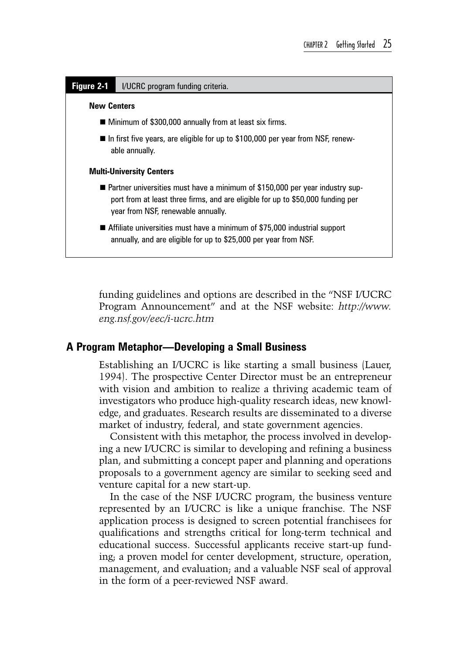

funding guidelines and options are described in the "NSF I/UCRC Program Announcement" and at the NSF website: *http://www. eng.nsf.gov/eec/i-ucrc.htm*

### **A Program Metaphor—Developing a Small Business**

Establishing an I/UCRC is like starting a small business (Lauer, 1994). The prospective Center Director must be an entrepreneur with vision and ambition to realize a thriving academic team of investigators who produce high-quality research ideas, new knowledge, and graduates. Research results are disseminated to a diverse market of industry, federal, and state government agencies.

Consistent with this metaphor, the process involved in developing a new I/UCRC is similar to developing and refining a business plan, and submitting a concept paper and planning and operations proposals to a government agency are similar to seeking seed and venture capital for a new start-up.

In the case of the NSF I/UCRC program, the business venture represented by an I/UCRC is like a unique franchise. The NSF application process is designed to screen potential franchisees for qualifications and strengths critical for long-term technical and educational success. Successful applicants receive start-up funding; a proven model for center development, structure, operation, management, and evaluation; and a valuable NSF seal of approval in the form of a peer-reviewed NSF award.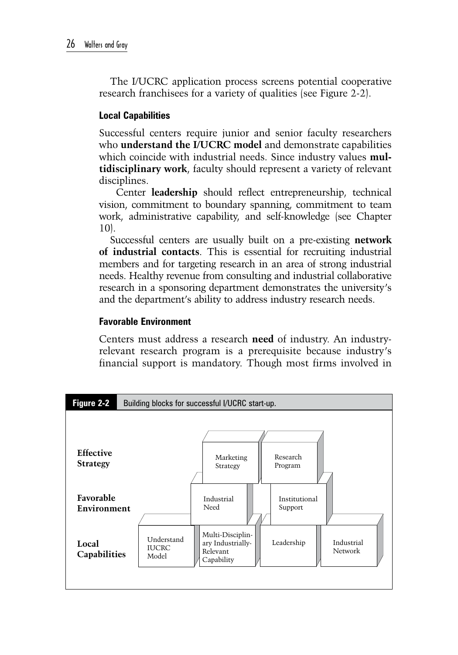The I/UCRC application process screens potential cooperative research franchisees for a variety of qualities (see Figure 2-2).

### **Local Capabilities**

Successful centers require junior and senior faculty researchers who **understand the I/UCRC model** and demonstrate capabilities which coincide with industrial needs. Since industry values **multidisciplinary work**, faculty should represent a variety of relevant disciplines.

 Center **leadership** should reflect entrepreneurship, technical vision, commitment to boundary spanning, commitment to team work, administrative capability, and self-knowledge (see Chapter 10).

Successful centers are usually built on a pre-existing **network of industrial contacts**. This is essential for recruiting industrial members and for targeting research in an area of strong industrial needs. Healthy revenue from consulting and industrial collaborative research in a sponsoring department demonstrates the university's and the department's ability to address industry research needs.

### **Favorable Environment**

Centers must address a research **need** of industry. An industryrelevant research program is a prerequisite because industry's financial support is mandatory. Though most firms involved in

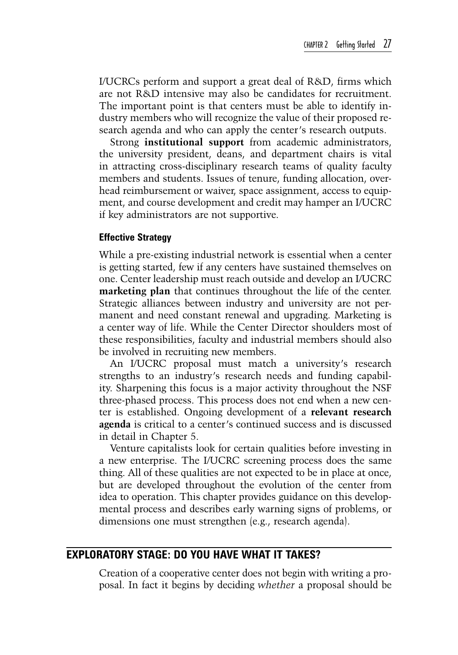I/UCRCs perform and support a great deal of R&D, firms which are not R&D intensive may also be candidates for recruitment. The important point is that centers must be able to identify industry members who will recognize the value of their proposed research agenda and who can apply the center's research outputs.

Strong **institutional support** from academic administrators, the university president, deans, and department chairs is vital in attracting cross-disciplinary research teams of quality faculty members and students. Issues of tenure, funding allocation, overhead reimbursement or waiver, space assignment, access to equipment, and course development and credit may hamper an I/UCRC if key administrators are not supportive.

#### **Effective Strategy**

While a pre-existing industrial network is essential when a center is getting started, few if any centers have sustained themselves on one. Center leadership must reach outside and develop an I/UCRC **marketing plan** that continues throughout the life of the center. Strategic alliances between industry and university are not permanent and need constant renewal and upgrading. Marketing is a center way of life. While the Center Director shoulders most of these responsibilities, faculty and industrial members should also be involved in recruiting new members.

An I/UCRC proposal must match a university's research strengths to an industry's research needs and funding capability. Sharpening this focus is a major activity throughout the NSF three-phased process. This process does not end when a new center is established. Ongoing development of a **relevant research agenda** is critical to a center's continued success and is discussed in detail in Chapter 5.

Venture capitalists look for certain qualities before investing in a new enterprise. The I/UCRC screening process does the same thing. All of these qualities are not expected to be in place at once, but are developed throughout the evolution of the center from idea to operation. This chapter provides guidance on this developmental process and describes early warning signs of problems, or dimensions one must strengthen (e.g., research agenda).

### **Exploratory Stage: Do You Have What It Takes?**

Creation of a cooperative center does not begin with writing a proposal. In fact it begins by deciding *whether* a proposal should be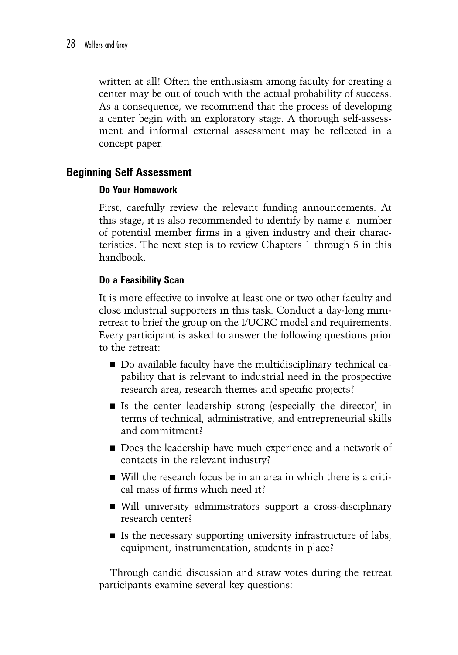written at all! Often the enthusiasm among faculty for creating a center may be out of touch with the actual probability of success. As a consequence, we recommend that the process of developing a center begin with an exploratory stage. A thorough self-assessment and informal external assessment may be reflected in a concept paper.

### **Beginning Self Assessment**

### **Do Your Homework**

First, carefully review the relevant funding announcements. At this stage, it is also recommended to identify by name a number of potential member firms in a given industry and their characteristics. The next step is to review Chapters 1 through 5 in this handbook.

### **Do a Feasibility Scan**

It is more effective to involve at least one or two other faculty and close industrial supporters in this task. Conduct a day-long miniretreat to brief the group on the I/UCRC model and requirements. Every participant is asked to answer the following questions prior to the retreat:

- Do available faculty have the multidisciplinary technical capability that is relevant to industrial need in the prospective research area, research themes and specific projects?
- Is the center leadership strong (especially the director) in terms of technical, administrative, and entrepreneurial skills and commitment?
- Does the leadership have much experience and a network of contacts in the relevant industry?
- Will the research focus be in an area in which there is a critical mass of firms which need it?
- Will university administrators support a cross-disciplinary research center?
- $\blacksquare$  Is the necessary supporting university infrastructure of labs, equipment, instrumentation, students in place?

Through candid discussion and straw votes during the retreat participants examine several key questions: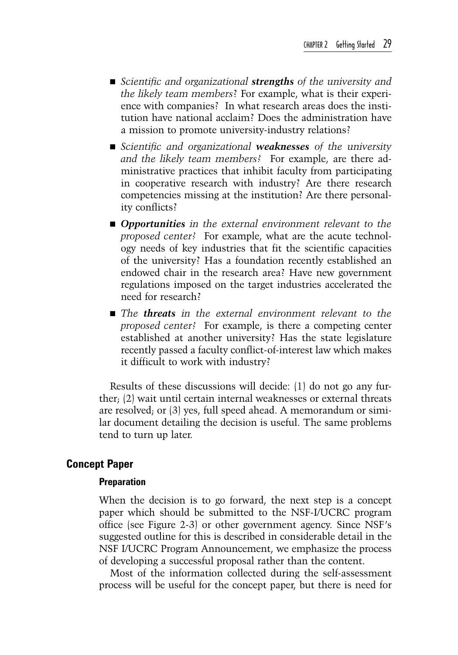- *Scientific and organizational <i>strengths* of the university and *the likely team members*? For example, what is their experience with companies? In what research areas does the institution have national acclaim? Does the administration have a mission to promote university-industry relations?
- *Scientific and organizational weaknesses of the university and the likely team members?* For example, are there administrative practices that inhibit faculty from participating in cooperative research with industry? Are there research competencies missing at the institution? Are there personality conflicts?
- *Opportunities in the external environment relevant to the proposed center?* For example, what are the acute technology needs of key industries that fit the scientific capacities of the university? Has a foundation recently established an endowed chair in the research area? Have new government regulations imposed on the target industries accelerated the need for research?
- *The threats in the external environment relevant to the proposed center?* For example, is there a competing center established at another university? Has the state legislature recently passed a faculty conflict-of-interest law which makes it difficult to work with industry?

Results of these discussions will decide: (1) do not go any further; (2) wait until certain internal weaknesses or external threats are resolved; or (3) yes, full speed ahead. A memorandum or similar document detailing the decision is useful. The same problems tend to turn up later.

### **Concept Paper**

#### **Preparation**

When the decision is to go forward, the next step is a concept paper which should be submitted to the NSF-I/UCRC program office (see Figure 2-3) or other government agency. Since NSF's suggested outline for this is described in considerable detail in the NSF I/UCRC Program Announcement, we emphasize the process of developing a successful proposal rather than the content.

Most of the information collected during the self-assessment process will be useful for the concept paper, but there is need for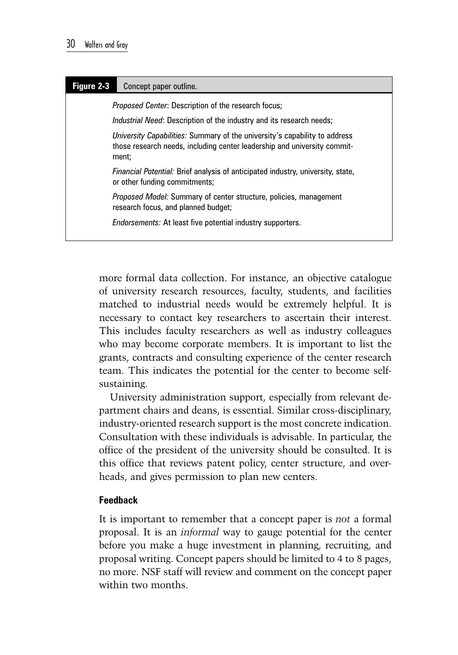| Figure 2-3 | Concept paper outline.                                                                                                                                          |
|------------|-----------------------------------------------------------------------------------------------------------------------------------------------------------------|
|            | <i>Proposed Center:</i> Description of the research focus;                                                                                                      |
|            | <i>Industrial Need:</i> Description of the industry and its research needs;                                                                                     |
|            | University Capabilities: Summary of the university's capability to address<br>those research needs, including center leadership and university commit-<br>ment; |
|            | <i>Financial Potential:</i> Brief analysis of anticipated industry, university, state,<br>or other funding commitments;                                         |
|            | Proposed Model: Summary of center structure, policies, management<br>research focus, and planned budget;                                                        |
|            | <i>Endorsements:</i> At least five potential industry supporters.                                                                                               |

more formal data collection. For instance, an objective catalogue of university research resources, faculty, students, and facilities matched to industrial needs would be extremely helpful. It is necessary to contact key researchers to ascertain their interest. This includes faculty researchers as well as industry colleagues who may become corporate members. It is important to list the grants, contracts and consulting experience of the center research team. This indicates the potential for the center to become selfsustaining.

University administration support, especially from relevant department chairs and deans, is essential. Similar cross-disciplinary, industry-oriented research support is the most concrete indication. Consultation with these individuals is advisable. In particular, the office of the president of the university should be consulted. It is this office that reviews patent policy, center structure, and overheads, and gives permission to plan new centers.

#### **Feedback**

It is important to remember that a concept paper is *not* a formal proposal. It is an *informal* way to gauge potential for the center before you make a huge investment in planning, recruiting, and proposal writing. Concept papers should be limited to 4 to 8 pages, no more. NSF staff will review and comment on the concept paper within two months.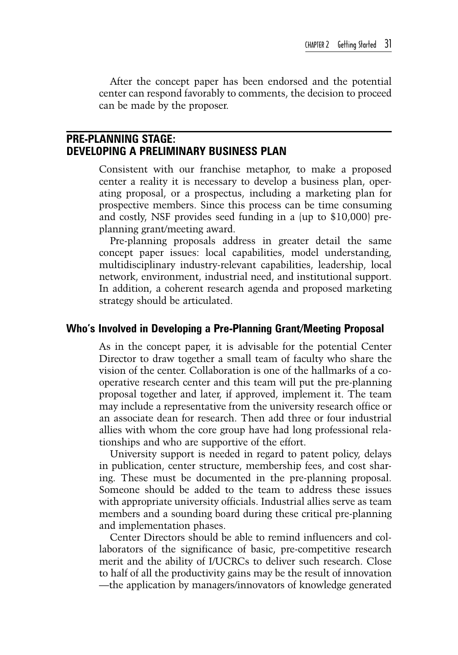After the concept paper has been endorsed and the potential center can respond favorably to comments, the decision to proceed can be made by the proposer.

### **Pre-Planning Stage: Developing a Preliminary Business Plan**

Consistent with our franchise metaphor, to make a proposed center a reality it is necessary to develop a business plan, operating proposal, or a prospectus, including a marketing plan for prospective members. Since this process can be time consuming and costly, NSF provides seed funding in a (up to \$10,000) preplanning grant/meeting award.

Pre-planning proposals address in greater detail the same concept paper issues: local capabilities, model understanding, multidisciplinary industry-relevant capabilities, leadership, local network, environment, industrial need, and institutional support. In addition, a coherent research agenda and proposed marketing strategy should be articulated.

#### **Who's Involved in Developing a Pre-Planning Grant/Meeting Proposal**

As in the concept paper, it is advisable for the potential Center Director to draw together a small team of faculty who share the vision of the center. Collaboration is one of the hallmarks of a cooperative research center and this team will put the pre-planning proposal together and later, if approved, implement it. The team may include a representative from the university research office or an associate dean for research. Then add three or four industrial allies with whom the core group have had long professional relationships and who are supportive of the effort.

University support is needed in regard to patent policy, delays in publication, center structure, membership fees, and cost sharing. These must be documented in the pre-planning proposal. Someone should be added to the team to address these issues with appropriate university officials. Industrial allies serve as team members and a sounding board during these critical pre-planning and implementation phases.

Center Directors should be able to remind influencers and collaborators of the significance of basic, pre-competitive research merit and the ability of I/UCRCs to deliver such research. Close to half of all the productivity gains may be the result of innovation —the application by managers/innovators of knowledge generated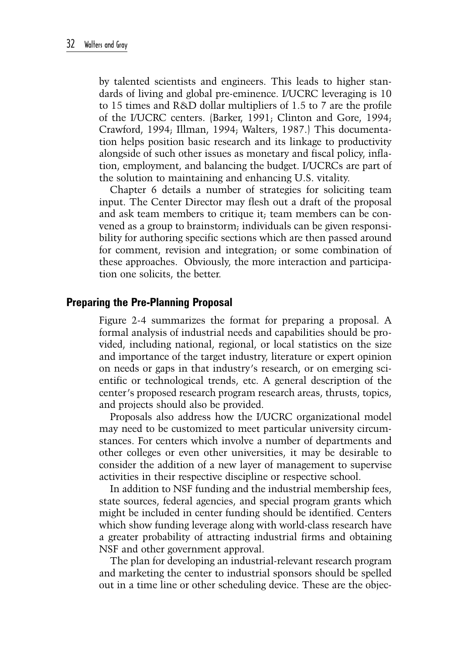by talented scientists and engineers. This leads to higher standards of living and global pre-eminence. I/UCRC leveraging is 10 to 15 times and R&D dollar multipliers of 1.5 to 7 are the profile of the I/UCRC centers. (Barker, 1991; Clinton and Gore, 1994; Crawford, 1994; Illman, 1994; Walters, 1987.) This documentation helps position basic research and its linkage to productivity alongside of such other issues as monetary and fiscal policy, inflation, employment, and balancing the budget. I/UCRCs are part of the solution to maintaining and enhancing U.S. vitality.

Chapter 6 details a number of strategies for soliciting team input. The Center Director may flesh out a draft of the proposal and ask team members to critique it; team members can be convened as a group to brainstorm; individuals can be given responsibility for authoring specific sections which are then passed around for comment, revision and integration; or some combination of these approaches. Obviously, the more interaction and participation one solicits, the better.

#### **Preparing the Pre-Planning Proposal**

Figure 2-4 summarizes the format for preparing a proposal. A formal analysis of industrial needs and capabilities should be provided, including national, regional, or local statistics on the size and importance of the target industry, literature or expert opinion on needs or gaps in that industry's research, or on emerging scientific or technological trends, etc. A general description of the center's proposed research program research areas, thrusts, topics, and projects should also be provided.

Proposals also address how the I/UCRC organizational model may need to be customized to meet particular university circumstances. For centers which involve a number of departments and other colleges or even other universities, it may be desirable to consider the addition of a new layer of management to supervise activities in their respective discipline or respective school.

In addition to NSF funding and the industrial membership fees, state sources, federal agencies, and special program grants which might be included in center funding should be identified. Centers which show funding leverage along with world-class research have a greater probability of attracting industrial firms and obtaining NSF and other government approval.

The plan for developing an industrial-relevant research program and marketing the center to industrial sponsors should be spelled out in a time line or other scheduling device. These are the objec-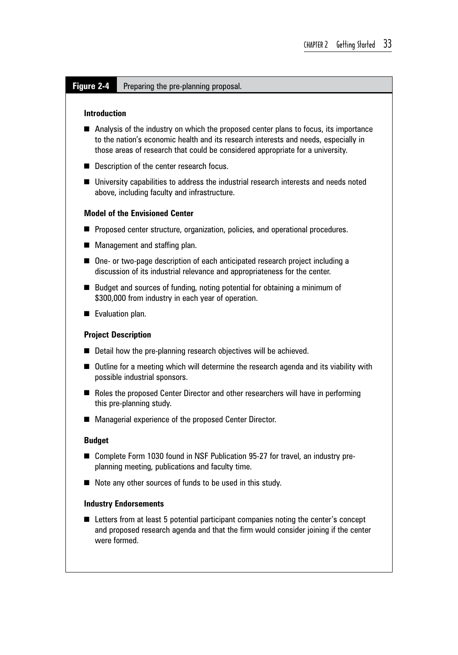#### **Figure 2-4** Preparing the pre-planning proposal.

#### **Introduction**

- Analysis of the industry on which the proposed center plans to focus, its importance to the nation's economic health and its research interests and needs, especially in those areas of research that could be considered appropriate for a university.
- Description of the center research focus.
- University capabilities to address the industrial research interests and needs noted above, including faculty and infrastructure.

#### **Model of the Envisioned Center**

- **Proposed center structure, organization, policies, and operational procedures.**
- **Management and staffing plan.**
- One- or two-page description of each anticipated research project including a discussion of its industrial relevance and appropriateness for the center.
- Budget and sources of funding, noting potential for obtaining a minimum of \$300,000 from industry in each year of operation.
- Evaluation plan.

#### **Project Description**

- Detail how the pre-planning research objectives will be achieved.
- Outline for a meeting which will determine the research agenda and its viability with possible industrial sponsors.
- Roles the proposed Center Director and other researchers will have in performing this pre-planning study.
- Managerial experience of the proposed Center Director.

#### **Budget**

- Complete Form 1030 found in NSF Publication 95-27 for travel, an industry preplanning meeting, publications and faculty time.
- Note any other sources of funds to be used in this study.

#### **Industry Endorsements**

■ Letters from at least 5 potential participant companies noting the center's concept and proposed research agenda and that the firm would consider joining if the center were formed.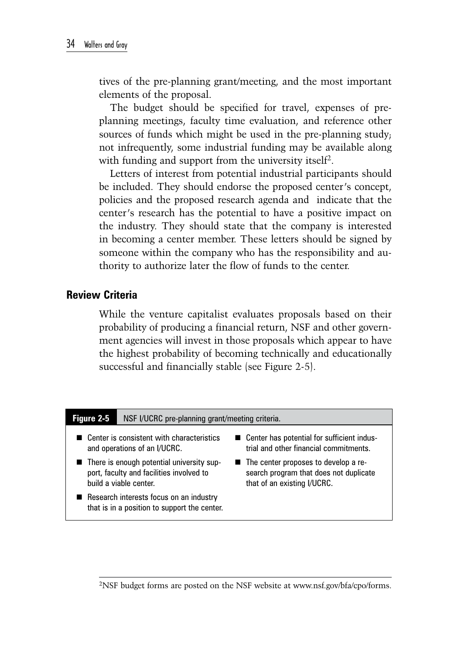tives of the pre-planning grant/meeting, and the most important elements of the proposal.

The budget should be specified for travel, expenses of preplanning meetings, faculty time evaluation, and reference other sources of funds which might be used in the pre-planning study; not infrequently, some industrial funding may be available along with funding and support from the university itself<sup>2</sup>.

Letters of interest from potential industrial participants should be included. They should endorse the proposed center's concept, policies and the proposed research agenda and indicate that the center's research has the potential to have a positive impact on the industry. They should state that the company is interested in becoming a center member. These letters should be signed by someone within the company who has the responsibility and authority to authorize later the flow of funds to the center.

### **Review Criteria**

While the venture capitalist evaluates proposals based on their probability of producing a financial return, NSF and other government agencies will invest in those proposals which appear to have the highest probability of becoming technically and educationally successful and financially stable (see Figure 2-5).

| <b>Figure 2-5</b><br>NSF I/UCRC pre-planning grant/meeting criteria.                                              |                                                                                                                 |
|-------------------------------------------------------------------------------------------------------------------|-----------------------------------------------------------------------------------------------------------------|
| Center is consistent with characteristics<br>and operations of an I/UCRC.                                         | ■ Center has potential for sufficient indus-<br>trial and other financial commitments.                          |
| ■ There is enough potential university sup-<br>port, faculty and facilities involved to<br>build a viable center. | ■ The center proposes to develop a re-<br>search program that does not duplicate<br>that of an existing I/UCRC. |
| Research interests focus on an industry<br>that is in a position to support the center.                           |                                                                                                                 |

2NSF budget forms are posted on the NSF website at www.nsf.gov/bfa/cpo/forms.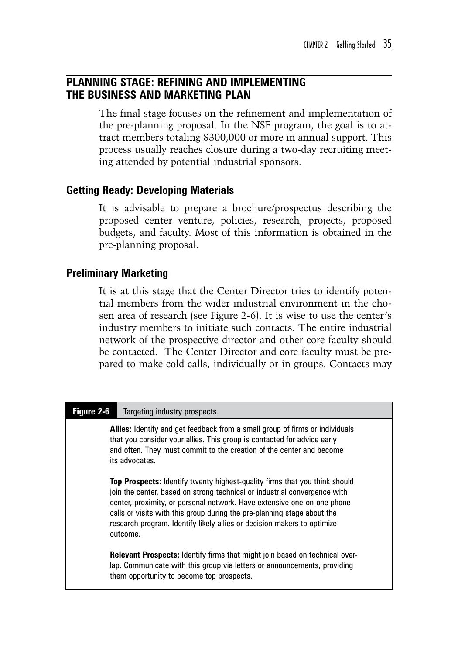### **Planning Stage: Refining and Implementing the Business and Marketing Plan**

The final stage focuses on the refinement and implementation of the pre-planning proposal. In the NSF program, the goal is to attract members totaling \$300,000 or more in annual support. This process usually reaches closure during a two-day recruiting meeting attended by potential industrial sponsors.

### **Getting Ready: Developing Materials**

It is advisable to prepare a brochure/prospectus describing the proposed center venture, policies, research, projects, proposed budgets, and faculty. Most of this information is obtained in the pre-planning proposal.

### **Preliminary Marketing**

It is at this stage that the Center Director tries to identify potential members from the wider industrial environment in the chosen area of research (see Figure 2-6). It is wise to use the center's industry members to initiate such contacts. The entire industrial network of the prospective director and other core faculty should be contacted. The Center Director and core faculty must be prepared to make cold calls, individually or in groups. Contacts may

| Figure 2-6 | Targeting industry prospects.                                                                                                                                                                                                                                                                                                                                                                               |
|------------|-------------------------------------------------------------------------------------------------------------------------------------------------------------------------------------------------------------------------------------------------------------------------------------------------------------------------------------------------------------------------------------------------------------|
|            | <b>Allies:</b> Identify and get feedback from a small group of firms or individuals<br>that you consider your allies. This group is contacted for advice early<br>and often. They must commit to the creation of the center and become<br>its advocates.                                                                                                                                                    |
|            | <b>Top Prospects:</b> Identify twenty highest-quality firms that you think should<br>join the center, based on strong technical or industrial convergence with<br>center, proximity, or personal network. Have extensive one-on-one phone<br>calls or visits with this group during the pre-planning stage about the<br>research program. Identify likely allies or decision-makers to optimize<br>outcome. |
|            | <b>Relevant Prospects:</b> Identify firms that might join based on technical over-<br>lap. Communicate with this group via letters or announcements, providing<br>them opportunity to become top prospects.                                                                                                                                                                                                 |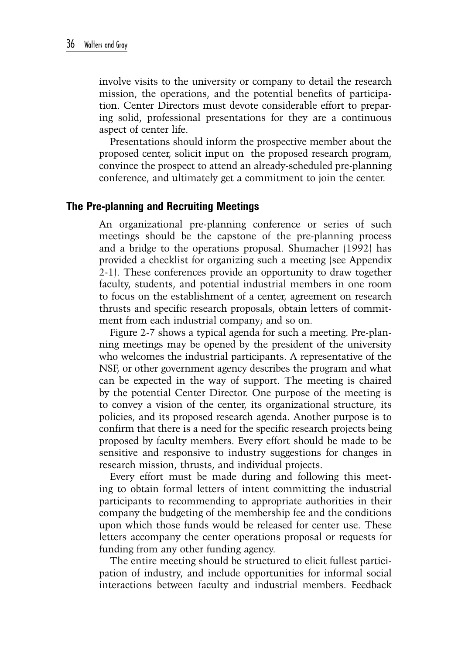involve visits to the university or company to detail the research mission, the operations, and the potential benefits of participation. Center Directors must devote considerable effort to preparing solid, professional presentations for they are a continuous aspect of center life.

Presentations should inform the prospective member about the proposed center, solicit input on the proposed research program, convince the prospect to attend an already-scheduled pre-planning conference, and ultimately get a commitment to join the center.

### **The Pre-planning and Recruiting Meetings**

An organizational pre-planning conference or series of such meetings should be the capstone of the pre-planning process and a bridge to the operations proposal. Shumacher (1992) has provided a checklist for organizing such a meeting (see Appendix 2-1). These conferences provide an opportunity to draw together faculty, students, and potential industrial members in one room to focus on the establishment of a center, agreement on research thrusts and specific research proposals, obtain letters of commitment from each industrial company; and so on.

Figure 2-7 shows a typical agenda for such a meeting. Pre-planning meetings may be opened by the president of the university who welcomes the industrial participants. A representative of the NSF, or other government agency describes the program and what can be expected in the way of support. The meeting is chaired by the potential Center Director. One purpose of the meeting is to convey a vision of the center, its organizational structure, its policies, and its proposed research agenda. Another purpose is to confirm that there is a need for the specific research projects being proposed by faculty members. Every effort should be made to be sensitive and responsive to industry suggestions for changes in research mission, thrusts, and individual projects.

Every effort must be made during and following this meeting to obtain formal letters of intent committing the industrial participants to recommending to appropriate authorities in their company the budgeting of the membership fee and the conditions upon which those funds would be released for center use. These letters accompany the center operations proposal or requests for funding from any other funding agency.

The entire meeting should be structured to elicit fullest participation of industry, and include opportunities for informal social interactions between faculty and industrial members. Feedback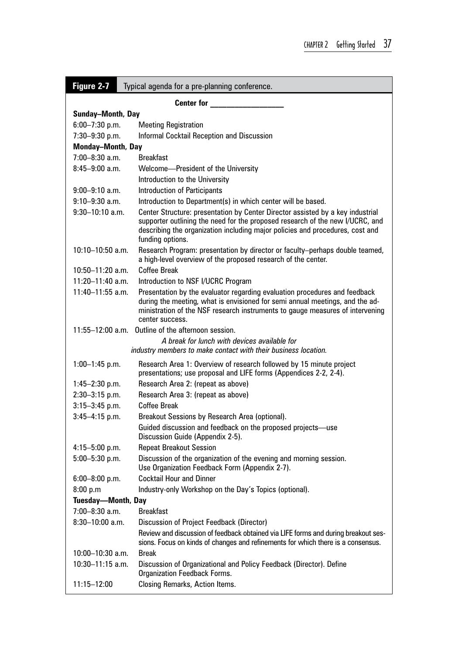| Figure 2-7<br>Typical agenda for a pre-planning conference. |                                                                                                                                                                                                                                                                      |  |  |
|-------------------------------------------------------------|----------------------------------------------------------------------------------------------------------------------------------------------------------------------------------------------------------------------------------------------------------------------|--|--|
|                                                             | <b>Center for</b>                                                                                                                                                                                                                                                    |  |  |
| <b>Sunday-Month, Day</b>                                    |                                                                                                                                                                                                                                                                      |  |  |
| $6:00 - 7:30$ p.m.                                          | <b>Meeting Registration</b>                                                                                                                                                                                                                                          |  |  |
| 7:30-9:30 p.m.                                              | Informal Cocktail Reception and Discussion                                                                                                                                                                                                                           |  |  |
| <b>Monday-Month, Day</b>                                    |                                                                                                                                                                                                                                                                      |  |  |
| $7:00 - 8:30$ a.m.                                          | <b>Breakfast</b>                                                                                                                                                                                                                                                     |  |  |
| $8:45 - 9:00$ a.m.                                          | Welcome-President of the University                                                                                                                                                                                                                                  |  |  |
|                                                             | Introduction to the University                                                                                                                                                                                                                                       |  |  |
| $9:00 - 9:10$ a.m.                                          | <b>Introduction of Participants</b>                                                                                                                                                                                                                                  |  |  |
| $9:10 - 9:30$ a.m.                                          | Introduction to Department(s) in which center will be based.                                                                                                                                                                                                         |  |  |
| $9:30 - 10:10$ a.m.                                         | Center Structure: presentation by Center Director assisted by a key industrial<br>supporter outlining the need for the proposed research of the new I/UCRC, and<br>describing the organization including major policies and procedures, cost and<br>funding options. |  |  |
| $10:10 - 10:50$ a.m.                                        | Research Program: presentation by director or faculty-perhaps double teamed,<br>a high-level overview of the proposed research of the center.                                                                                                                        |  |  |
| 10:50-11:20 a.m.                                            | Coffee Break                                                                                                                                                                                                                                                         |  |  |
| $11:20 - 11:40$ a.m.                                        | Introduction to NSF I/UCRC Program                                                                                                                                                                                                                                   |  |  |
| $11:40 - 11:55$ a.m.                                        | Presentation by the evaluator regarding evaluation procedures and feedback<br>during the meeting, what is envisioned for semi annual meetings, and the ad-<br>ministration of the NSF research instruments to gauge measures of intervening<br>center success.       |  |  |
|                                                             | 11:55-12:00 a.m. Outline of the afternoon session.                                                                                                                                                                                                                   |  |  |
|                                                             | A break for lunch with devices available for<br>industry members to make contact with their business location.                                                                                                                                                       |  |  |
| $1:00-1:45$ p.m.                                            | Research Area 1: Overview of research followed by 15 minute project<br>presentations; use proposal and LIFE forms (Appendices 2-2, 2-4).                                                                                                                             |  |  |
| $1:45 - 2:30$ p.m.                                          | Research Area 2: (repeat as above)                                                                                                                                                                                                                                   |  |  |
| $2:30 - 3:15$ p.m.                                          | Research Area 3: (repeat as above)                                                                                                                                                                                                                                   |  |  |
| $3:15 - 3:45$ p.m.                                          | Coffee Break                                                                                                                                                                                                                                                         |  |  |
| $3:45-4:15$ p.m.                                            | Breakout Sessions by Research Area (optional).                                                                                                                                                                                                                       |  |  |
|                                                             | Guided discussion and feedback on the proposed projects—use<br>Discussion Guide (Appendix 2-5).                                                                                                                                                                      |  |  |
| $4:15 - 5:00$ p.m.                                          | <b>Repeat Breakout Session</b>                                                                                                                                                                                                                                       |  |  |
| $5:00 - 5:30$ p.m.                                          | Discussion of the organization of the evening and morning session.<br>Use Organization Feedback Form (Appendix 2-7).                                                                                                                                                 |  |  |
| $6:00 - 8:00$ p.m.                                          | <b>Cocktail Hour and Dinner</b>                                                                                                                                                                                                                                      |  |  |
| 8:00 p.m                                                    | Industry-only Workshop on the Day's Topics (optional).                                                                                                                                                                                                               |  |  |
| <b>Tuesday-Month, Day</b>                                   |                                                                                                                                                                                                                                                                      |  |  |
| 7:00-8:30 a.m.                                              | <b>Breakfast</b>                                                                                                                                                                                                                                                     |  |  |
| $8:30 - 10:00$ a.m.                                         | Discussion of Project Feedback (Director)<br>Review and discussion of feedback obtained via LIFE forms and during breakout ses-<br>sions. Focus on kinds of changes and refinements for which there is a consensus.                                                  |  |  |
| 10:00-10:30 a.m.                                            | <b>Break</b>                                                                                                                                                                                                                                                         |  |  |
| $10:30 - 11:15$ a.m.                                        | Discussion of Organizational and Policy Feedback (Director). Define<br><b>Organization Feedback Forms.</b>                                                                                                                                                           |  |  |
| 11:15-12:00                                                 | Closing Remarks, Action Items.                                                                                                                                                                                                                                       |  |  |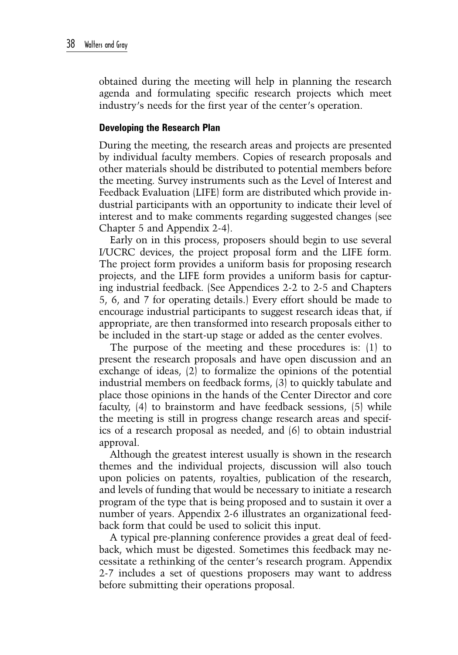obtained during the meeting will help in planning the research agenda and formulating specific research projects which meet industry's needs for the first year of the center's operation.

#### **Developing the Research Plan**

During the meeting, the research areas and projects are presented by individual faculty members. Copies of research proposals and other materials should be distributed to potential members before the meeting. Survey instruments such as the Level of Interest and Feedback Evaluation (LIFE) form are distributed which provide industrial participants with an opportunity to indicate their level of interest and to make comments regarding suggested changes (see Chapter 5 and Appendix 2-4).

Early on in this process, proposers should begin to use several I/UCRC devices, the project proposal form and the LIFE form. The project form provides a uniform basis for proposing research projects, and the LIFE form provides a uniform basis for capturing industrial feedback. (See Appendices 2-2 to 2-5 and Chapters 5, 6, and 7 for operating details.) Every effort should be made to encourage industrial participants to suggest research ideas that, if appropriate, are then transformed into research proposals either to be included in the start-up stage or added as the center evolves.

The purpose of the meeting and these procedures is: (1) to present the research proposals and have open discussion and an exchange of ideas, (2) to formalize the opinions of the potential industrial members on feedback forms, (3) to quickly tabulate and place those opinions in the hands of the Center Director and core faculty, (4) to brainstorm and have feedback sessions, (5) while the meeting is still in progress change research areas and specifics of a research proposal as needed, and (6) to obtain industrial approval.

Although the greatest interest usually is shown in the research themes and the individual projects, discussion will also touch upon policies on patents, royalties, publication of the research, and levels of funding that would be necessary to initiate a research program of the type that is being proposed and to sustain it over a number of years. Appendix 2-6 illustrates an organizational feedback form that could be used to solicit this input.

A typical pre-planning conference provides a great deal of feedback, which must be digested. Sometimes this feedback may necessitate a rethinking of the center's research program. Appendix 2-7 includes a set of questions proposers may want to address before submitting their operations proposal.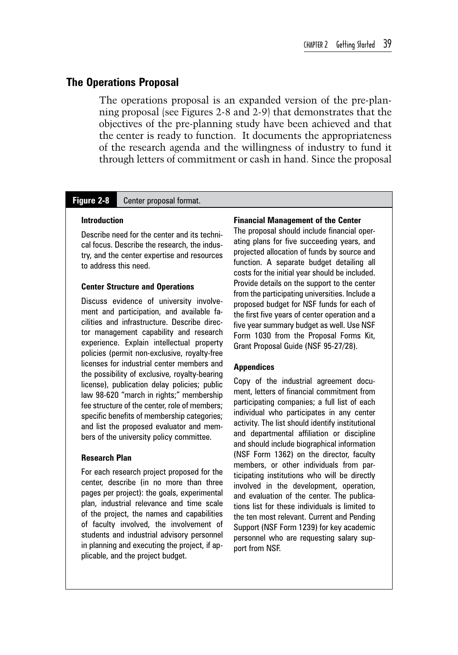#### **The Operations Proposal**

The operations proposal is an expanded version of the pre-planning proposal (see Figures 2-8 and 2-9) that demonstrates that the objectives of the pre-planning study have been achieved and that the center is ready to function. It documents the appropriateness of the research agenda and the willingness of industry to fund it through letters of commitment or cash in hand. Since the proposal

#### **Figure 2-8** Center proposal format.

#### **Introduction**

Describe need for the center and its technical focus. Describe the research, the industry, and the center expertise and resources to address this need.

#### **Center Structure and Operations**

Discuss evidence of university involvement and participation, and available facilities and infrastructure. Describe director management capability and research experience. Explain intellectual property policies (permit non-exclusive, royalty-free licenses for industrial center members and the possibility of exclusive, royalty-bearing license), publication delay policies; public law 98-620 "march in rights;" membership fee structure of the center, role of members; specific benefits of membership categories; and list the proposed evaluator and members of the university policy committee.

#### **Research Plan**

For each research project proposed for the center, describe (in no more than three pages per project): the goals, experimental plan, industrial relevance and time scale of the project, the names and capabilities of faculty involved, the involvement of students and industrial advisory personnel in planning and executing the project, if applicable, and the project budget.

#### **Financial Management of the Center**

The proposal should include financial operating plans for five succeeding years, and projected allocation of funds by source and function. A separate budget detailing all costs for the initial year should be included. Provide details on the support to the center from the participating universities. Include a proposed budget for NSF funds for each of the first five years of center operation and a five year summary budget as well. Use NSF Form 1030 from the Proposal Forms Kit, Grant Proposal Guide (NSF 95-27/28).

#### **Appendices**

Copy of the industrial agreement document, letters of financial commitment from participating companies; a full list of each individual who participates in any center activity. The list should identify institutional and departmental affiliation or discipline and should include biographical information (NSF Form 1362) on the director, faculty members, or other individuals from participating institutions who will be directly involved in the development, operation, and evaluation of the center. The publications list for these individuals is limited to the ten most relevant. Current and Pending Support (NSF Form 1239) for key academic personnel who are requesting salary support from NSF.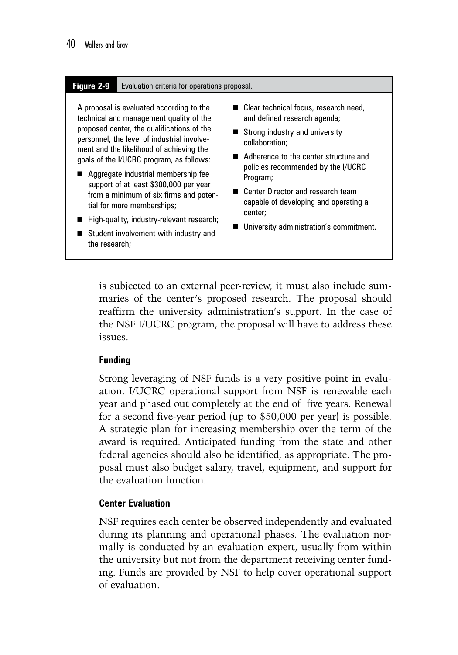#### **Figure 2-9** Evaluation criteria for operations proposal.

A proposal is evaluated according to the technical and management quality of the proposed center, the qualifications of the personnel, the level of industrial involvement and the likelihood of achieving the goals of the I/UCRC program, as follows:

- Aggregate industrial membership fee support of at least \$300,000 per year from a minimum of six firms and potential for more memberships;
- High-quality, industry-relevant research;
- Student involvement with industry and the research;
- Clear technical focus, research need, and defined research agenda;
- Strong industry and university collaboration;
- Adherence to the center structure and policies recommended by the I/UCRC Program;
- Center Director and research team capable of developing and operating a center;
- **University administration's commitment.**

is subjected to an external peer-review, it must also include summaries of the center's proposed research. The proposal should reaffirm the university administration's support. In the case of the NSF I/UCRC program, the proposal will have to address these issues.

#### **Funding**

Strong leveraging of NSF funds is a very positive point in evaluation. I/UCRC operational support from NSF is renewable each year and phased out completely at the end of five years. Renewal for a second five-year period (up to \$50,000 per year) is possible. A strategic plan for increasing membership over the term of the award is required. Anticipated funding from the state and other federal agencies should also be identified, as appropriate. The proposal must also budget salary, travel, equipment, and support for the evaluation function.

#### **Center Evaluation**

NSF requires each center be observed independently and evaluated during its planning and operational phases. The evaluation normally is conducted by an evaluation expert, usually from within the university but not from the department receiving center funding. Funds are provided by NSF to help cover operational support of evaluation.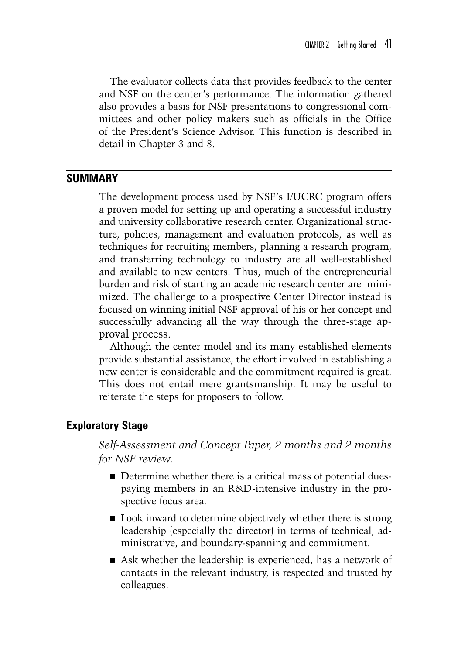The evaluator collects data that provides feedback to the center and NSF on the center's performance. The information gathered also provides a basis for NSF presentations to congressional committees and other policy makers such as officials in the Office of the President's Science Advisor. This function is described in detail in Chapter 3 and 8.

### **Summary**

The development process used by NSF's I/UCRC program offers a proven model for setting up and operating a successful industry and university collaborative research center. Organizational structure, policies, management and evaluation protocols, as well as techniques for recruiting members, planning a research program, and transferring technology to industry are all well-established and available to new centers. Thus, much of the entrepreneurial burden and risk of starting an academic research center are minimized. The challenge to a prospective Center Director instead is focused on winning initial NSF approval of his or her concept and successfully advancing all the way through the three-stage approval process.

Although the center model and its many established elements provide substantial assistance, the effort involved in establishing a new center is considerable and the commitment required is great. This does not entail mere grantsmanship. It may be useful to reiterate the steps for proposers to follow.

### **Exploratory Stage**

*Self-Assessment and Concept Paper, 2 months and 2 months for NSF review.*

- Determine whether there is a critical mass of potential duespaying members in an R&D-intensive industry in the prospective focus area.
- Look inward to determine objectively whether there is strong leadership (especially the director) in terms of technical, administrative, and boundary-spanning and commitment.
- Ask whether the leadership is experienced, has a network of contacts in the relevant industry, is respected and trusted by colleagues.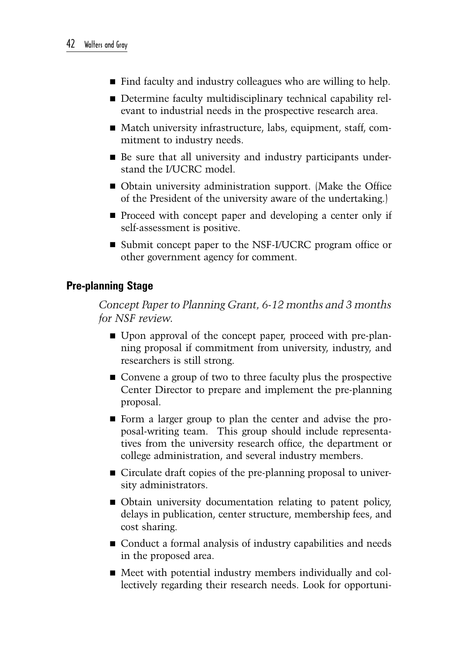- Find faculty and industry colleagues who are willing to help.
- Determine faculty multidisciplinary technical capability relevant to industrial needs in the prospective research area.
- Match university infrastructure, labs, equipment, staff, commitment to industry needs.
- Be sure that all university and industry participants understand the I/UCRC model.
- Obtain university administration support. (Make the Office of the President of the university aware of the undertaking.)
- Proceed with concept paper and developing a center only if self-assessment is positive.
- Submit concept paper to the NSF-I/UCRC program office or other government agency for comment.

### **Pre-planning Stage**

*Concept Paper to Planning Grant, 6-12 months and 3 months for NSF review.*

- Upon approval of the concept paper, proceed with pre-planning proposal if commitment from university, industry, and researchers is still strong.
- Convene a group of two to three faculty plus the prospective Center Director to prepare and implement the pre-planning proposal.
- Form a larger group to plan the center and advise the proposal-writing team. This group should include representatives from the university research office, the department or college administration, and several industry members.
- Circulate draft copies of the pre-planning proposal to university administrators.
- Obtain university documentation relating to patent policy, delays in publication, center structure, membership fees, and cost sharing.
- Conduct a formal analysis of industry capabilities and needs in the proposed area.
- Meet with potential industry members individually and collectively regarding their research needs. Look for opportuni-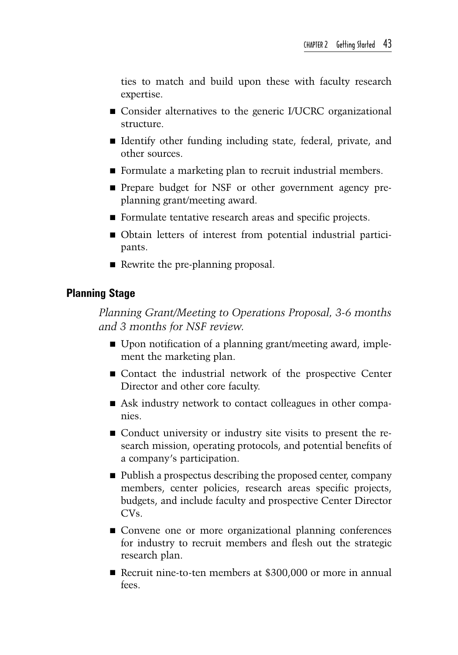ties to match and build upon these with faculty research expertise.

- Consider alternatives to the generic I/UCRC organizational structure.
- If Identify other funding including state, federal, private, and other sources.
- Formulate a marketing plan to recruit industrial members.
- **Prepare budget for NSF or other government agency pre**planning grant/meeting award.
- Formulate tentative research areas and specific projects.
- Obtain letters of interest from potential industrial participants.
- Rewrite the pre-planning proposal.

### **Planning Stage**

*Planning Grant/Meeting to Operations Proposal, 3-6 months and 3 months for NSF review.*

- Upon notification of a planning grant/meeting award, implement the marketing plan.
- Contact the industrial network of the prospective Center Director and other core faculty.
- Ask industry network to contact colleagues in other companies.
- Conduct university or industry site visits to present the research mission, operating protocols, and potential benefits of a company's participation.
- Publish a prospectus describing the proposed center, company members, center policies, research areas specific projects, budgets, and include faculty and prospective Center Director CVs.
- Convene one or more organizational planning conferences for industry to recruit members and flesh out the strategic research plan.
- Recruit nine-to-ten members at \$300,000 or more in annual fees.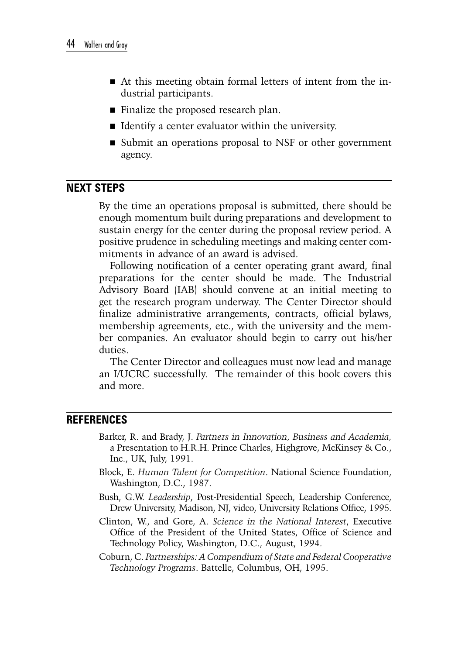- At this meeting obtain formal letters of intent from the industrial participants.
- Finalize the proposed research plan.
- Identify a center evaluator within the university.
- Submit an operations proposal to NSF or other government agency.

### **Next Steps**

By the time an operations proposal is submitted, there should be enough momentum built during preparations and development to sustain energy for the center during the proposal review period. A positive prudence in scheduling meetings and making center commitments in advance of an award is advised.

Following notification of a center operating grant award, final preparations for the center should be made. The Industrial Advisory Board (IAB) should convene at an initial meeting to get the research program underway. The Center Director should finalize administrative arrangements, contracts, official bylaws, membership agreements, etc., with the university and the member companies. An evaluator should begin to carry out his/her duties.

The Center Director and colleagues must now lead and manage an I/UCRC successfully. The remainder of this book covers this and more.

### **References**

- Barker, R. and Brady, J. *Partners in Innovation, Business and Academia,*  a Presentation to H.R.H. Prince Charles, Highgrove, McKinsey & Co., Inc., UK, July, 1991.
- Block, E. *Human Talent for Competition*. National Science Foundation, Washington, D.C., 1987.
- Bush, G.W. *Leadership*, Post-Presidential Speech, Leadership Conference, Drew University, Madison, NJ, video, University Relations Office, 1995.
- Clinton, W., and Gore, A. *Science in the National Interest*, Executive Office of the President of the United States, Office of Science and Technology Policy, Washington, D.C., August, 1994.
- Coburn, C. *Partnerships: A Compendium of State and Federal Cooperative Technology Programs*. Battelle, Columbus, OH, 1995.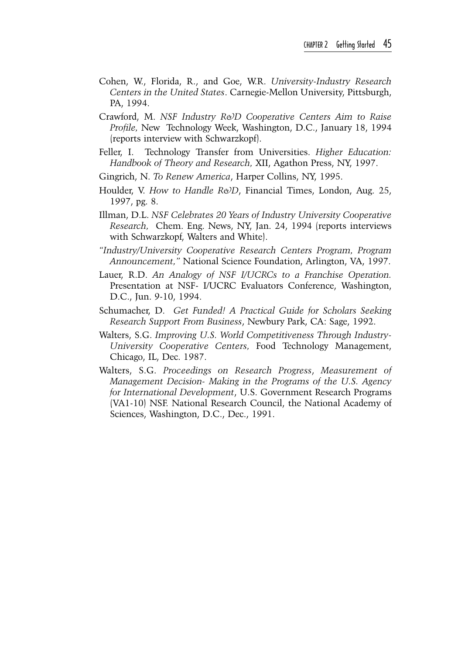- Cohen, W., Florida, R., and Goe, W.R. *University-Industry Research Centers in the United States*. Carnegie-Mellon University, Pittsburgh, PA, 1994.
- Crawford, M. *NSF Industry R&D Cooperative Centers Aim to Raise Profile,* New Technology Week, Washington, D.C., January 18, 1994 (reports interview with Schwarzkopf).
- Feller, I. Technology Transfer from Universities. *Higher Education: Handbook of Theory and Research,* XII, Agathon Press, NY, 1997.
- Gingrich, N. *To Renew America*, Harper Collins, NY, 1995.
- Houlder, V. How to Handle R&D, Financial Times, London, Aug. 25, 1997, pg. 8.
- Illman, D.L. *NSF Celebrates 20 Years of Industry University Cooperative Research,* Chem. Eng. News, NY, Jan. 24, 1994 (reports interviews with Schwarzkopf, Walters and White).
- *"Industry/University Cooperative Research Centers Program, Program Announcement,"* National Science Foundation, Arlington, VA, 1997.
- Lauer, R.D. *An Analogy of NSF I/UCRCs to a Franchise Operation.* Presentation at NSF- I/UCRC Evaluators Conference, Washington, D.C., Jun. 9-10, 1994.
- Schumacher, D. *Get Funded! A Practical Guide for Scholars Seeking Research Support From Business*, Newbury Park, CA: Sage, 1992.
- Walters, S.G. *Improving U.S. World Competitiveness Through Industry-University Cooperative Centers,* Food Technology Management, Chicago, IL, Dec. 1987.
- Walters, S.G. *Proceedings on Research Progress*, *Measurement of Management Decision- Making in the Programs of the U.S. Agency for International Development*, U.S. Government Research Programs (VA1-10) NSF. National Research Council, the National Academy of Sciences, Washington, D.C., Dec., 1991.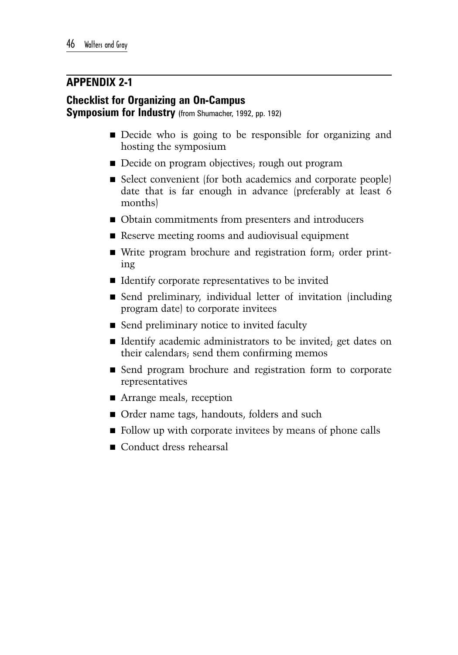### **Appendix 2-1**

### **Checklist for Organizing an On-Campus**

**Symposium for Industry** (from Shumacher, 1992, pp. 192)

- Decide who is going to be responsible for organizing and hosting the symposium
- Decide on program objectives; rough out program
- Select convenient (for both academics and corporate people) date that is far enough in advance (preferably at least 6 months)
- Obtain commitments from presenters and introducers
- Reserve meeting rooms and audiovisual equipment
- Write program brochure and registration form; order printing
- $\blacksquare$  Identify corporate representatives to be invited
- Send preliminary, individual letter of invitation (including program date) to corporate invitees
- Send preliminary notice to invited faculty
- Identify academic administrators to be invited; get dates on their calendars; send them confirming memos
- Send program brochure and registration form to corporate representatives
- Arrange meals, reception
- Order name tags, handouts, folders and such
- Follow up with corporate invitees by means of phone calls
- Conduct dress rehearsal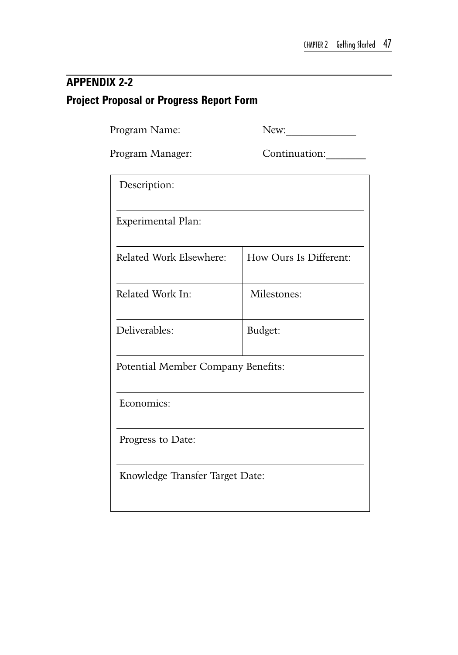### **Appendix 2-2 Project Proposal or Progress Report Form**

Program Name: New:

Program Manager: Continuation:

| Description:                       |                        |  |  |
|------------------------------------|------------------------|--|--|
| <b>Experimental Plan:</b>          |                        |  |  |
| Related Work Elsewhere:            | How Ours Is Different: |  |  |
| Related Work In:                   | Milestones:            |  |  |
| Deliverables:                      | Budget:                |  |  |
| Potential Member Company Benefits: |                        |  |  |
| Economics:                         |                        |  |  |
| Progress to Date:                  |                        |  |  |
| Knowledge Transfer Target Date:    |                        |  |  |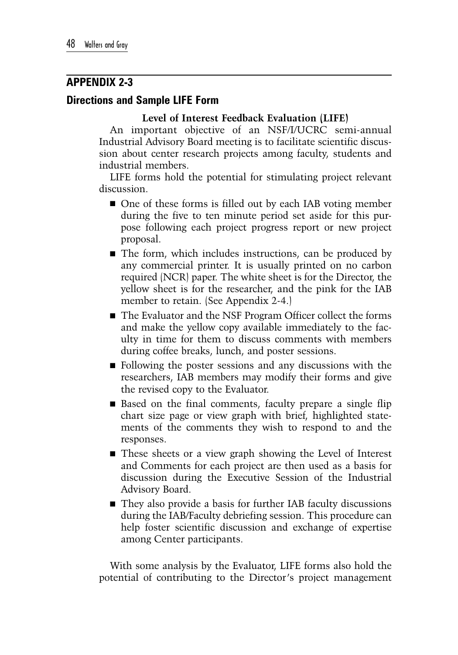### **Appendix 2-3**

### **Directions and Sample LIFE Form**

### **Level of Interest Feedback Evaluation (LIFE)**

An important objective of an NSF/I/UCRC semi-annual Industrial Advisory Board meeting is to facilitate scientific discussion about center research projects among faculty, students and industrial members.

LIFE forms hold the potential for stimulating project relevant discussion.

- One of these forms is filled out by each IAB voting member during the five to ten minute period set aside for this purpose following each project progress report or new project proposal.
- The form, which includes instructions, can be produced by any commercial printer. It is usually printed on no carbon required (NCR) paper. The white sheet is for the Director, the yellow sheet is for the researcher, and the pink for the IAB member to retain. (See Appendix 2-4.)
- The Evaluator and the NSF Program Officer collect the forms and make the yellow copy available immediately to the faculty in time for them to discuss comments with members during coffee breaks, lunch, and poster sessions.
- Following the poster sessions and any discussions with the researchers, IAB members may modify their forms and give the revised copy to the Evaluator.
- Based on the final comments, faculty prepare a single flip chart size page or view graph with brief, highlighted statements of the comments they wish to respond to and the responses.
- These sheets or a view graph showing the Level of Interest and Comments for each project are then used as a basis for discussion during the Executive Session of the Industrial Advisory Board.
- They also provide a basis for further IAB faculty discussions during the IAB/Faculty debriefing session. This procedure can help foster scientific discussion and exchange of expertise among Center participants.

With some analysis by the Evaluator, LIFE forms also hold the potential of contributing to the Director's project management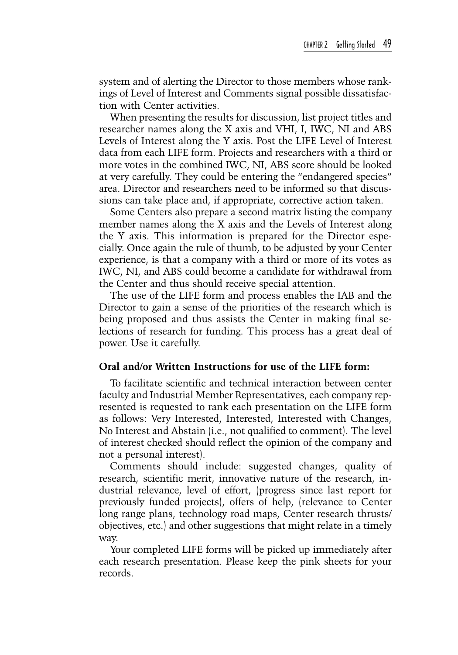system and of alerting the Director to those members whose rankings of Level of Interest and Comments signal possible dissatisfaction with Center activities.

When presenting the results for discussion, list project titles and researcher names along the X axis and VHI, I, IWC, NI and ABS Levels of Interest along the Y axis. Post the LIFE Level of Interest data from each LIFE form. Projects and researchers with a third or more votes in the combined IWC, NI, ABS score should be looked at very carefully. They could be entering the "endangered species" area. Director and researchers need to be informed so that discussions can take place and, if appropriate, corrective action taken.

Some Centers also prepare a second matrix listing the company member names along the X axis and the Levels of Interest along the Y axis. This information is prepared for the Director especially. Once again the rule of thumb, to be adjusted by your Center experience, is that a company with a third or more of its votes as IWC, NI, and ABS could become a candidate for withdrawal from the Center and thus should receive special attention.

The use of the LIFE form and process enables the IAB and the Director to gain a sense of the priorities of the research which is being proposed and thus assists the Center in making final selections of research for funding. This process has a great deal of power. Use it carefully.

#### **Oral and/or Written Instructions for use of the LIFE form:**

To facilitate scientific and technical interaction between center faculty and Industrial Member Representatives, each company represented is requested to rank each presentation on the LIFE form as follows: Very Interested, Interested, Interested with Changes, No Interest and Abstain (i.e., not qualified to comment). The level of interest checked should reflect the opinion of the company and not a personal interest).

Comments should include: suggested changes, quality of research, scientific merit, innovative nature of the research, industrial relevance, level of effort, (progress since last report for previously funded projects), offers of help, (relevance to Center long range plans, technology road maps, Center research thrusts/ objectives, etc.) and other suggestions that might relate in a timely way.

Your completed LIFE forms will be picked up immediately after each research presentation. Please keep the pink sheets for your records.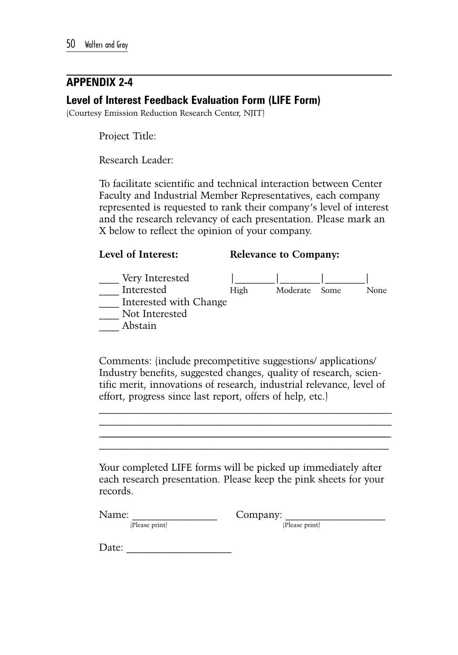### **Appendix 2-4**

### **Level of Interest Feedback Evaluation Form (LIFE Form)**

(Courtesy Emission Reduction Research Center, NJIT)

Project Title:

Research Leader:

To facilitate scientific and technical interaction between Center Faculty and Industrial Member Representatives, each company represented is requested to rank their company's level of interest and the research relevancy of each presentation. Please mark an X below to reflect the opinion of your company.

#### **Level of Interest: Relevance to Company:**



Comments: (include precompetitive suggestions/ applications/ Industry benefits, suggested changes, quality of research, scientific merit, innovations of research, industrial relevance, level of effort, progress since last report, offers of help, etc.)

 $\mathcal{L}_\text{max}$  and the contract of the contract of the contract of the contract of the contract of the contract of the contract of the contract of the contract of the contract of the contract of the contract of the contrac \_\_\_\_\_\_\_\_\_\_\_\_\_\_\_\_\_\_\_\_\_\_\_\_\_\_\_\_\_\_\_\_\_\_\_\_\_\_\_\_\_\_\_\_\_\_\_\_\_\_\_\_\_\_\_\_\_\_  $\mathcal{L}_\mathcal{L} = \mathcal{L}_\mathcal{L} = \mathcal{L}_\mathcal{L} = \mathcal{L}_\mathcal{L} = \mathcal{L}_\mathcal{L} = \mathcal{L}_\mathcal{L} = \mathcal{L}_\mathcal{L} = \mathcal{L}_\mathcal{L} = \mathcal{L}_\mathcal{L} = \mathcal{L}_\mathcal{L} = \mathcal{L}_\mathcal{L} = \mathcal{L}_\mathcal{L} = \mathcal{L}_\mathcal{L} = \mathcal{L}_\mathcal{L} = \mathcal{L}_\mathcal{L} = \mathcal{L}_\mathcal{L} = \mathcal{L}_\mathcal{L}$  $\mathcal{L}_\text{max}$  and the contract of the contract of the contract of the contract of the contract of the contract of the contract of the contract of the contract of the contract of the contract of the contract of the contrac

Your completed LIFE forms will be picked up immediately after each research presentation. Please keep the pink sheets for your records.

Name: Company:

(Please print) (Please print)

Date: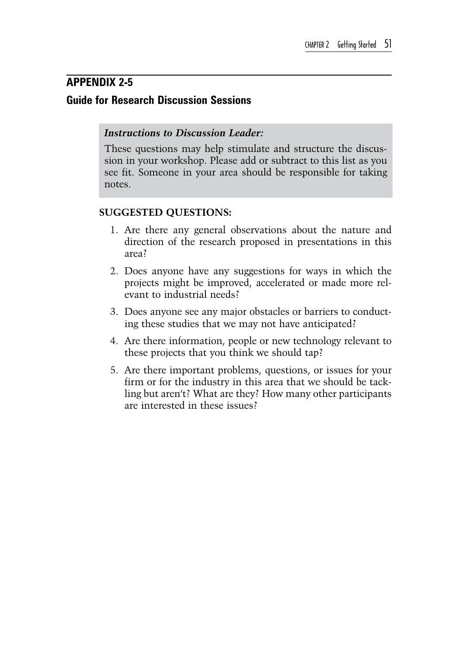### **Appendix 2-5 Guide for Research Discussion Sessions**

### *Instructions to Discussion Leader:*

These questions may help stimulate and structure the discussion in your workshop. Please add or subtract to this list as you see fit. Someone in your area should be responsible for taking notes.

### **SUGGESTED QUESTIONS:**

- 1. Are there any general observations about the nature and direction of the research proposed in presentations in this area?
- 2. Does anyone have any suggestions for ways in which the projects might be improved, accelerated or made more relevant to industrial needs?
- 3. Does anyone see any major obstacles or barriers to conducting these studies that we may not have anticipated?
- 4. Are there information, people or new technology relevant to these projects that you think we should tap?
- 5. Are there important problems, questions, or issues for your firm or for the industry in this area that we should be tackling but aren't? What are they? How many other participants are interested in these issues?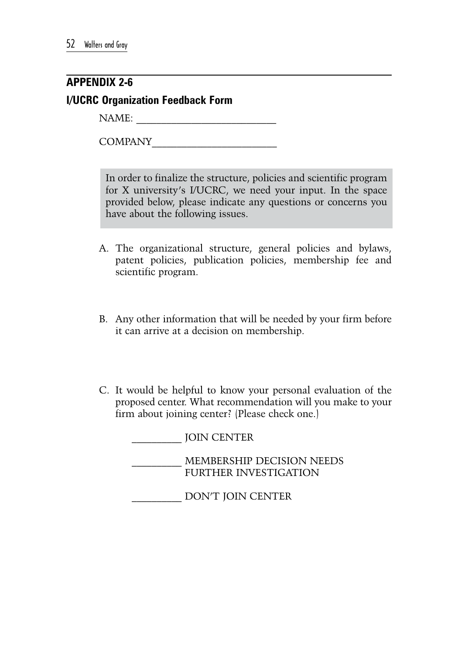### **Appendix 2-6 I/UCRC Organization Feedback Form**

NAME:

COMPANY\_\_\_\_\_\_\_\_\_\_\_\_\_\_\_\_\_\_\_\_\_\_\_\_\_

In order to finalize the structure, policies and scientific program for X university's I/UCRC, we need your input. In the space provided below, please indicate any questions or concerns you have about the following issues.

- A. The organizational structure, general policies and bylaws, patent policies, publication policies, membership fee and scientific program.
- B. Any other information that will be needed by your firm before it can arrive at a decision on membership.
- C. It would be helpful to know your personal evaluation of the proposed center. What recommendation will you make to your firm about joining center? (Please check one.)

\_\_\_\_\_\_\_\_\_\_ JOIN CENTER

\_\_\_\_\_\_\_\_\_\_ MEMBERSHIP DECISION NEEDS FURTHER INVESTIGATION

\_\_\_\_\_\_\_\_\_\_ DON'T JOIN CENTER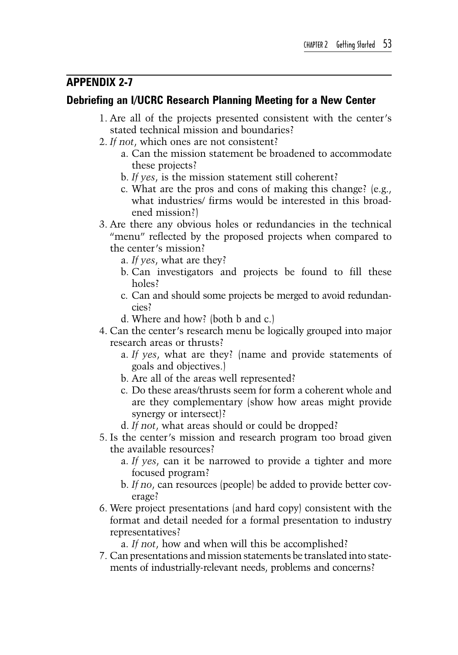### **Appendix 2-7**

### **Debriefing an I/UCRC Research Planning Meeting for a New Center**

- 1. Are all of the projects presented consistent with the center's stated technical mission and boundaries?
- 2. *If not*, which ones are not consistent?
	- a. Can the mission statement be broadened to accommodate these projects?
	- b. *If yes*, is the mission statement still coherent?
	- c. What are the pros and cons of making this change? (e.g., what industries/ firms would be interested in this broadened mission?)
- 3. Are there any obvious holes or redundancies in the technical "menu" reflected by the proposed projects when compared to the center's mission?
	- a. *If yes*, what are they?
	- b. Can investigators and projects be found to fill these holes?
	- c. Can and should some projects be merged to avoid redundancies?
	- d. Where and how? (both b and c.)
- 4. Can the center's research menu be logically grouped into major research areas or thrusts?
	- a. *If yes*, what are they? (name and provide statements of goals and objectives.)
	- b. Are all of the areas well represented?
	- c. Do these areas/thrusts seem for form a coherent whole and are they complementary (show how areas might provide synergy or intersect)?
	- d. *If not*, what areas should or could be dropped?
- 5. Is the center's mission and research program too broad given the available resources?
	- a. *If yes*, can it be narrowed to provide a tighter and more focused program?
	- b. *If no*, can resources (people) be added to provide better coverage?
- 6. Were project presentations (and hard copy) consistent with the format and detail needed for a formal presentation to industry representatives?

a. *If not*, how and when will this be accomplished?

7. Can presentations and mission statements be translated into statements of industrially-relevant needs, problems and concerns?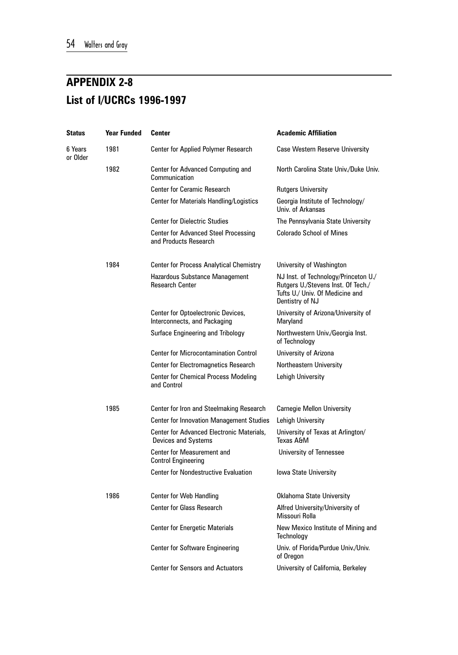## **Appendix 2-8 List of I/UCRCs 1996-1997**

| <b>Status</b>       | <b>Year Funded</b> | Center                                                               | <b>Academic Affiliation</b>                                                                                                      |
|---------------------|--------------------|----------------------------------------------------------------------|----------------------------------------------------------------------------------------------------------------------------------|
| 6 Years<br>or Older | 1981               | Center for Applied Polymer Research                                  | Case Western Reserve University                                                                                                  |
|                     | 1982               | Center for Advanced Computing and<br>Communication                   | North Carolina State Univ./Duke Univ.                                                                                            |
|                     |                    | <b>Center for Ceramic Research</b>                                   | <b>Rutgers University</b>                                                                                                        |
|                     |                    | Center for Materials Handling/Logistics                              | Georgia Institute of Technology/<br>Univ. of Arkansas                                                                            |
|                     |                    | <b>Center for Dielectric Studies</b>                                 | The Pennsylvania State University                                                                                                |
|                     |                    | <b>Center for Advanced Steel Processing</b><br>and Products Research | <b>Colorado School of Mines</b>                                                                                                  |
|                     | 1984               | <b>Center for Process Analytical Chemistry</b>                       | University of Washington                                                                                                         |
|                     |                    | Hazardous Substance Management<br><b>Research Center</b>             | NJ Inst. of Technology/Princeton U./<br>Rutgers U./Stevens Inst. Of Tech./<br>Tufts U./ Univ. Of Medicine and<br>Dentistry of NJ |
|                     |                    | Center for Optoelectronic Devices,<br>Interconnects, and Packaging   | University of Arizona/University of<br>Maryland                                                                                  |
|                     |                    | Surface Engineering and Tribology                                    | Northwestern Univ./Georgia Inst.<br>of Technology                                                                                |
|                     |                    | <b>Center for Microcontamination Control</b>                         | University of Arizona                                                                                                            |
|                     |                    | <b>Center for Electromagnetics Research</b>                          | Northeastern University                                                                                                          |
|                     |                    | <b>Center for Chemical Process Modeling</b><br>and Control           | Lehigh University                                                                                                                |
|                     | 1985               | Center for Iron and Steelmaking Research                             | <b>Carnegie Mellon University</b>                                                                                                |
|                     |                    | <b>Center for Innovation Management Studies</b>                      | Lehigh University                                                                                                                |
|                     |                    | Center for Advanced Electronic Materials,<br>Devices and Systems     | University of Texas at Arlington/<br>Texas A&M                                                                                   |
|                     |                    | Center for Measurement and<br><b>Control Engineering</b>             | University of Tennessee                                                                                                          |
|                     |                    | <b>Center for Nondestructive Evaluation</b>                          | Iowa State University                                                                                                            |
|                     | 1986               | Center for Web Handling                                              | Oklahoma State University                                                                                                        |
|                     |                    | <b>Center for Glass Research</b>                                     | Alfred University/University of<br>Missouri Rolla                                                                                |
|                     |                    | <b>Center for Energetic Materials</b>                                | New Mexico Institute of Mining and<br>Technology                                                                                 |
|                     |                    | <b>Center for Software Engineering</b>                               | Univ. of Florida/Purdue Univ./Univ.<br>of Oregon                                                                                 |
|                     |                    | <b>Center for Sensors and Actuators</b>                              | University of California, Berkeley                                                                                               |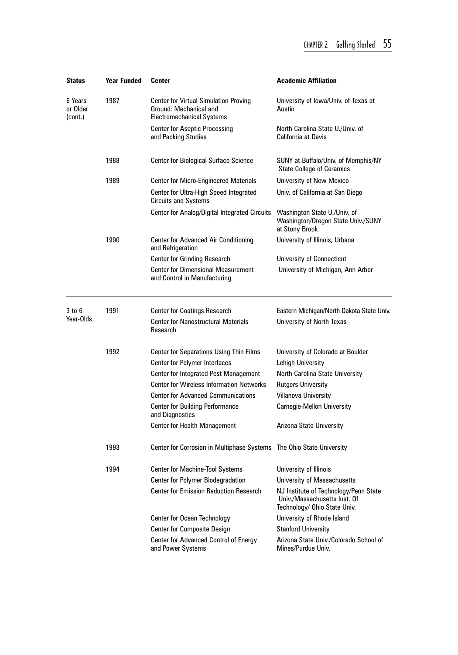| Status                         | <b>Year Funded</b> | Center                                                                                                     | <b>Academic Affiliation</b>                                                                           |
|--------------------------------|--------------------|------------------------------------------------------------------------------------------------------------|-------------------------------------------------------------------------------------------------------|
| 6 Years<br>or Older<br>(cont.) | 1987               | <b>Center for Virtual Simulation Proving</b><br>Ground: Mechanical and<br><b>Electromechanical Systems</b> | University of Iowa/Univ. of Texas at<br>Austin                                                        |
|                                |                    | <b>Center for Aseptic Processing</b><br>and Packing Studies                                                | North Carolina State U./Univ. of<br>California at Davis                                               |
|                                | 1988               | <b>Center for Biological Surface Science</b>                                                               | SUNY at Buffalo/Univ. of Memphis/NY<br><b>State College of Ceramics</b>                               |
|                                | 1989               | <b>Center for Micro-Engineered Materials</b>                                                               | University of New Mexico                                                                              |
|                                |                    | Center for Ultra-High Speed Integrated<br><b>Circuits and Systems</b>                                      | Univ. of California at San Diego                                                                      |
|                                |                    | Center for Analog/Digital Integrated Circuits                                                              | Washington State U./Univ. of<br>Washington/Oregon State Univ./SUNY<br>at Stony Brook                  |
|                                | 1990               | <b>Center for Advanced Air Conditioning</b><br>and Refrigeration                                           | University of Illinois, Urbana                                                                        |
|                                |                    | <b>Center for Grinding Research</b>                                                                        | University of Connecticut                                                                             |
|                                |                    | <b>Center for Dimensional Measurement</b><br>and Control in Manufacturing                                  | University of Michigan, Ann Arbor                                                                     |
| 3 to 6                         | 1991               | <b>Center for Coatings Research</b>                                                                        | Eastern Michigan/North Dakota State Univ.                                                             |
| Year-Olds                      |                    | <b>Center for Nanostructural Materials</b><br>Research                                                     | University of North Texas                                                                             |
|                                | 1992               | <b>Center for Separations Using Thin Films</b>                                                             | University of Colorado at Boulder                                                                     |
|                                |                    | Center for Polymer Interfaces                                                                              | Lehigh University                                                                                     |
|                                |                    | Center for Integrated Pest Management                                                                      | North Carolina State University                                                                       |
|                                |                    | <b>Center for Wireless Information Networks</b>                                                            | <b>Rutgers University</b>                                                                             |
|                                |                    | <b>Center for Advanced Communications</b>                                                                  | Villanova University                                                                                  |
|                                |                    | <b>Center for Building Performance</b><br>and Diagnostics                                                  | <b>Carnegie-Mellon University</b>                                                                     |
|                                |                    | <b>Center for Health Management</b>                                                                        | Arizona State University                                                                              |
|                                | 1993               | Center for Corrosion in Multiphase Systems The Ohio State University                                       |                                                                                                       |
|                                | 1994               | <b>Center for Machine-Tool Systems</b>                                                                     | University of Illinois                                                                                |
|                                |                    | <b>Center for Polymer Biodegradation</b>                                                                   | University of Massachusetts                                                                           |
|                                |                    | <b>Center for Emission Reduction Research</b>                                                              | NJ Institute of Technology/Penn State<br>Univ./Massachusetts Inst. Of<br>Technology/ Ohio State Univ. |
|                                |                    | Center for Ocean Technology                                                                                | University of Rhode Island                                                                            |
|                                |                    | <b>Center for Composite Design</b>                                                                         | <b>Stanford University</b>                                                                            |
|                                |                    | Center for Advanced Control of Energy<br>and Power Systems                                                 | Arizona State Univ./Colorado School of<br>Mines/Purdue Univ.                                          |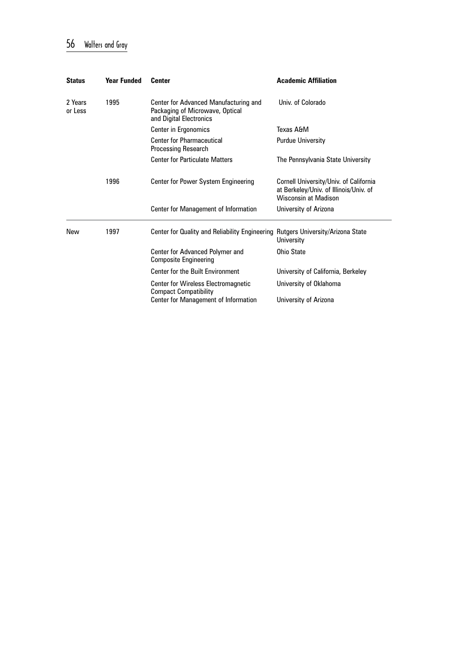### 56 Walters and Gray

| <b>Status</b>      | <b>Year Funded</b> | <b>Center</b>                                                                                       | <b>Academic Affiliation</b>                                                                                     |
|--------------------|--------------------|-----------------------------------------------------------------------------------------------------|-----------------------------------------------------------------------------------------------------------------|
| 2 Years<br>or Less | 1995               | Center for Advanced Manufacturing and<br>Packaging of Microwave, Optical<br>and Digital Electronics | Univ. of Colorado                                                                                               |
|                    |                    | Center in Ergonomics                                                                                | Texas A&M                                                                                                       |
|                    |                    | <b>Center for Pharmaceutical</b><br><b>Processing Research</b>                                      | <b>Purdue University</b>                                                                                        |
|                    |                    | <b>Center for Particulate Matters</b>                                                               | The Pennsylvania State University                                                                               |
|                    | 1996               | Center for Power System Engineering                                                                 | Cornell University/Univ. of California<br>at Berkeley/Univ. of Illinois/Univ. of<br><b>Wisconsin at Madison</b> |
|                    |                    | Center for Management of Information                                                                | University of Arizona                                                                                           |
| New                | 1997               | Center for Quality and Reliability Engineering Rutgers University/Arizona State                     | University                                                                                                      |
|                    |                    | Center for Advanced Polymer and<br><b>Composite Engineering</b>                                     | <b>Ohio State</b>                                                                                               |
|                    |                    | Center for the Built Environment                                                                    | University of California, Berkeley                                                                              |
|                    |                    | <b>Center for Wireless Electromagnetic</b><br><b>Compact Compatibility</b>                          | University of Oklahoma                                                                                          |
|                    |                    | Center for Management of Information                                                                | University of Arizona                                                                                           |